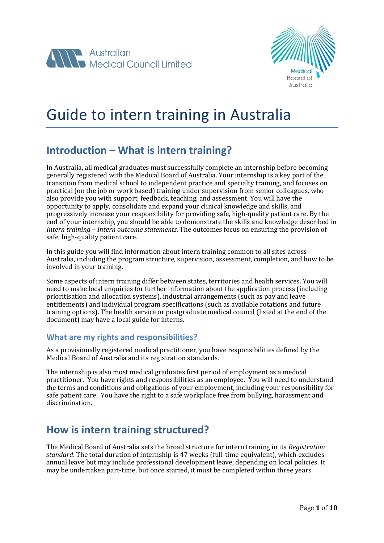



# Guide to intern training in Australia

### **Introduction – What is intern training?**

In Australia, all medical graduates must successfully complete an internship before becoming generally registered with the Medical Board of Australia. Your internship is a key part of the transition from medical school to independent practice and specialty training, and focuses on practical (on the job or work based) training under supervision from senior colleagues, who also provide you with support, feedback, teaching, and assessment. You will have the opportunity to apply, consolidate and expand your clinical knowledge and skills, and progressively increase your responsibility for providing safe, high-quality patient care. By the end of your internship, you should be able to demonstrate the skills and knowledge described in *Intern training – Intern outcome statements*. The outcomes focus on ensuring the provision of safe, high-quality patient care.

In this guide you will find information about intern training common to all sites across Australia, including the program structure, supervision, assessment, completion, and how to be involved in your training.

Some aspects of intern training differ between states, territories and health services. You will need to make local enquiries for further information about the application process (including prioritisation and allocation systems), industrial arrangements (such as pay and leave entitlements) and individual program specifications (such as available rotations and future training options). The health service or postgraduate medical council (listed at the end of the document) may have a local guide for interns.

#### **What are my rights and responsibilities?**

As a provisionally registered medical practitioner, you have responsibilities defined by the Medical Board of Australia and its registration standards.

The internship is also most medical graduates first period of employment as a medical practitioner. You have rights and responsibilities as an employee. You will need to understand the terms and conditions and obligations of your employment, including your responsibility for safe patient care. You have the right to a safe workplace free from bullying, harassment and discrimination.

### **How is intern training structured?**

The Medical Board of Australia sets the broad structure for intern training in its *Registration standard*. The total duration of internship is 47 weeks (full-time equivalent), which excludes annual leave but may include professional development leave, depending on local policies. It may be undertaken part-time, but once started, it must be completed within three years.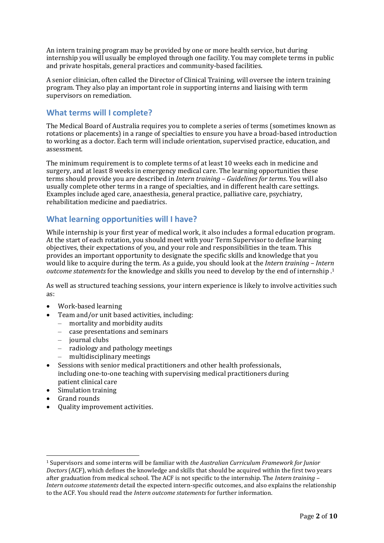An intern training program may be provided by one or more health service, but during internship you will usually be employed through one facility. You may complete terms in public and private hospitals, general practices and community-based facilities.

A senior clinician, often called the Director of Clinical Training, will oversee the intern training program. They also play an important role in supporting interns and liaising with term supervisors on remediation.

#### **What terms will I complete?**

The Medical Board of Australia requires you to complete a series of terms (sometimes known as rotations or placements) in a range of specialties to ensure you have a broad-based introduction to working as a doctor. Each term will include orientation, supervised practice, education, and assessment.

The minimum requirement is to complete terms of at least 10 weeks each in medicine and surgery, and at least 8 weeks in emergency medical care. The learning opportunities these terms should provide you are described in *Intern training – Guidelines for terms*. You will also usually complete other terms in a range of specialties, and in different health care settings. Examples include aged care, anaesthesia, general practice, palliative care, psychiatry, rehabilitation medicine and paediatrics.

#### **What learning opportunities will I have?**

While internship is your first year of medical work, it also includes a formal education program. At the start of each rotation, you should meet with your Term Supervisor to define learning objectives, their expectations of you, and your role and responsibilities in the team. This provides an important opportunity to designate the specific skills and knowledge that you would like to acquire during the term. As a guide, you should look at the *Intern training – Intern outcome statements* for the knowledge and skills you need to develop by the end of internship .<sup>1</sup>

As well as structured teaching sessions, your intern experience is likely to involve activities such as:

- Work-based learning
	- Team and/or unit based activities, including:
	- mortality and morbidity audits
	- case presentations and seminars
	- journal clubs
	- radiology and pathology meetings
	- multidisciplinary meetings
- Sessions with senior medical practitioners and other health professionals, including one-to-one teaching with supervising medical practitioners during patient clinical care
- Simulation training
- Grand rounds

.<br>-

Quality improvement activities.

<sup>1</sup> Supervisors and some interns will be familiar with *the Australian Curriculum Framework for Junior Doctors* (ACF), which defines the knowledge and skills that should be acquired within the first two years after graduation from medical school. The ACF is not specific to the internship. The *Intern training – Intern outcome statements* detail the expected intern-specific outcomes, and also explains the relationship to the ACF. You should read the *Intern outcome statements* for further information.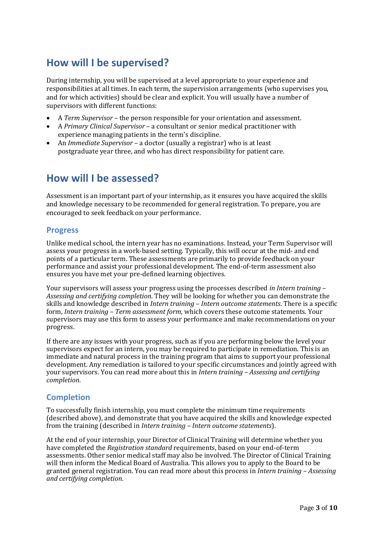### **How will I be supervised?**

During internship, you will be supervised at a level appropriate to your experience and responsibilities at all times. In each term, the supervision arrangements (who supervises you, and for which activities) should be clear and explicit. You will usually have a number of supervisors with different functions:

- A *Term Supervisor* the person responsible for your orientation and assessment.
- A *Primary Clinical Supervisor* a consultant or senior medical practitioner with experience managing patients in the term's discipline.
- An *Immediate Supervisor* a doctor (usually a registrar) who is at least postgraduate year three, and who has direct responsibility for patient care.

### **How will I be assessed?**

Assessment is an important part of your internship, as it ensures you have acquired the skills and knowledge necessary to be recommended for general registration. To prepare, you are encouraged to seek feedback on your performance.

#### **Progress**

Unlike medical school, the intern year has no examinations. Instead, your Term Supervisor will assess your progress in a work-based setting. Typically, this will occur at the mid- and end points of a particular term. These assessments are primarily to provide feedback on your performance and assist your professional development. The end-of-term assessment also ensures you have met your pre-defined learning objectives.

Your supervisors will assess your progress using the processes described *in Intern training – Assessing and certifying completion*. They will be looking for whether you can demonstrate the skills and knowledge described in *Intern training – Intern outcome statements*. There is a specific form, *Intern training – Term assessment form*, which covers these outcome statements. Your supervisors may use this form to assess your performance and make recommendations on your progress.

If there are any issues with your progress, such as if you are performing below the level your supervisors expect for an intern, you may be required to participate in remediation. This is an immediate and natural process in the training program that aims to support your professional development. Any remediation is tailored to your specific circumstances and jointly agreed with your supervisors. You can read more about this in *Intern training – Assessing and certifying completion*.

#### **Completion**

To successfully finish internship, you must complete the minimum time requirements (described above), and demonstrate that you have acquired the skills and knowledge expected from the training (described in *Intern training – Intern outcome statements*).

At the end of your internship, your Director of Clinical Training will determine whether you have completed the *Registration standard* requirements, based on your end-of-term assessments. Other senior medical staff may also be involved. The Director of Clinical Training will then inform the Medical Board of Australia. This allows you to apply to the Board to be granted general registration. You can read more about this process in *Intern training – Assessing and certifying completion*.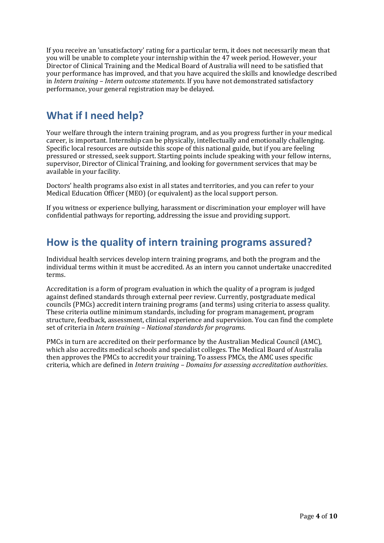If you receive an 'unsatisfactory' rating for a particular term, it does not necessarily mean that you will be unable to complete your internship within the 47 week period. However, your Director of Clinical Training and the Medical Board of Australia will need to be satisfied that your performance has improved, and that you have acquired the skills and knowledge described in *Intern training – Intern outcome statements*. If you have not demonstrated satisfactory performance, your general registration may be delayed.

### **What if I need help?**

Your welfare through the intern training program, and as you progress further in your medical career, is important. Internship can be physically, intellectually and emotionally challenging. Specific local resources are outside this scope of this national guide, but if you are feeling pressured or stressed, seek support. Starting points include speaking with your fellow interns, supervisor, Director of Clinical Training, and looking for government services that may be available in your facility.

Doctors' health programs also exist in all states and territories, and you can refer to your Medical Education Officer (MEO) (or equivalent) as the local support person.

If you witness or experience bullying, harassment or discrimination your employer will have confidential pathways for reporting, addressing the issue and providing support.

### **How is the quality of intern training programs assured?**

Individual health services develop intern training programs, and both the program and the individual terms within it must be accredited. As an intern you cannot undertake unaccredited terms.

Accreditation is a form of program evaluation in which the quality of a program is judged against defined standards through external peer review. Currently, postgraduate medical councils (PMCs) accredit intern training programs (and terms) using criteria to assess quality. These criteria outline minimum standards, including for program management, program structure, feedback, assessment, clinical experience and supervision. You can find the complete set of criteria in *Intern training – National standards for programs*.

PMCs in turn are accredited on their performance by the Australian Medical Council (AMC), which also accredits medical schools and specialist colleges. The Medical Board of Australia then approves the PMCs to accredit your training. To assess PMCs, the AMC uses specific criteria, which are defined in *Intern training – Domains for assessing accreditation authorities*.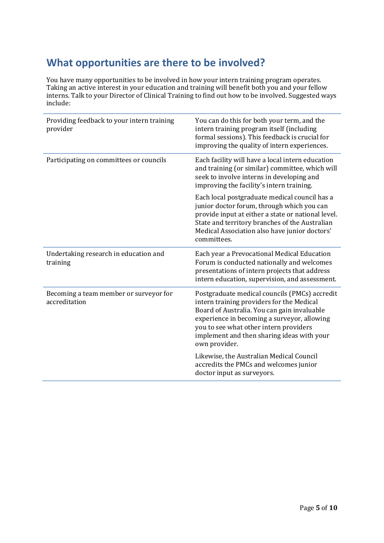## **What opportunities are there to be involved?**

You have many opportunities to be involved in how your intern training program operates. Taking an active interest in your education and training will benefit both you and your fellow interns. Talk to your Director of Clinical Training to find out how to be involved. Suggested ways include:

| Providing feedback to your intern training<br>provider  | You can do this for both your term, and the<br>intern training program itself (including<br>formal sessions). This feedback is crucial for<br>improving the quality of intern experiences.                                                                                                        |
|---------------------------------------------------------|---------------------------------------------------------------------------------------------------------------------------------------------------------------------------------------------------------------------------------------------------------------------------------------------------|
| Participating on committees or councils                 | Each facility will have a local intern education<br>and training (or similar) committee, which will<br>seek to involve interns in developing and<br>improving the facility's intern training.                                                                                                     |
|                                                         | Each local postgraduate medical council has a<br>junior doctor forum, through which you can<br>provide input at either a state or national level.<br>State and territory branches of the Australian<br>Medical Association also have junior doctors'<br>committees.                               |
| Undertaking research in education and<br>training       | Each year a Prevocational Medical Education<br>Forum is conducted nationally and welcomes<br>presentations of intern projects that address<br>intern education, supervision, and assessment.                                                                                                      |
| Becoming a team member or surveyor for<br>accreditation | Postgraduate medical councils (PMCs) accredit<br>intern training providers for the Medical<br>Board of Australia. You can gain invaluable<br>experience in becoming a surveyor, allowing<br>you to see what other intern providers<br>implement and then sharing ideas with your<br>own provider. |
|                                                         | Likewise, the Australian Medical Council<br>accredits the PMCs and welcomes junior<br>doctor input as surveyors.                                                                                                                                                                                  |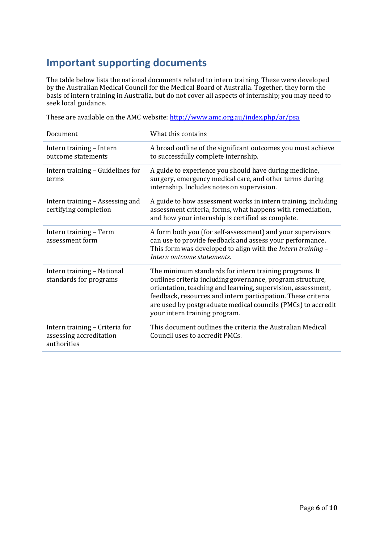### **Important supporting documents**

The table below lists the national documents related to intern training. These were developed by the Australian Medical Council for the Medical Board of Australia. Together, they form the basis of intern training in Australia, but do not cover all aspects of internship; you may need to seek local guidance.

These are available on the AMC website:<http://www.amc.org.au/index.php/ar/psa>

| Document                                                                 | What this contains                                                                                                                                                                                                                                                                                                                                    |
|--------------------------------------------------------------------------|-------------------------------------------------------------------------------------------------------------------------------------------------------------------------------------------------------------------------------------------------------------------------------------------------------------------------------------------------------|
| Intern training - Intern<br>outcome statements                           | A broad outline of the significant outcomes you must achieve<br>to successfully complete internship.                                                                                                                                                                                                                                                  |
| Intern training - Guidelines for<br>terms                                | A guide to experience you should have during medicine,<br>surgery, emergency medical care, and other terms during<br>internship. Includes notes on supervision.                                                                                                                                                                                       |
| Intern training - Assessing and<br>certifying completion                 | A guide to how assessment works in intern training, including<br>assessment criteria, forms, what happens with remediation,<br>and how your internship is certified as complete.                                                                                                                                                                      |
| Intern training - Term<br>assessment form                                | A form both you (for self-assessment) and your supervisors<br>can use to provide feedback and assess your performance.<br>This form was developed to align with the Intern training -<br>Intern outcome statements.                                                                                                                                   |
| Intern training - National<br>standards for programs                     | The minimum standards for intern training programs. It<br>outlines criteria including governance, program structure,<br>orientation, teaching and learning, supervision, assessment,<br>feedback, resources and intern participation. These criteria<br>are used by postgraduate medical councils (PMCs) to accredit<br>your intern training program. |
| Intern training - Criteria for<br>assessing accreditation<br>authorities | This document outlines the criteria the Australian Medical<br>Council uses to accredit PMCs.                                                                                                                                                                                                                                                          |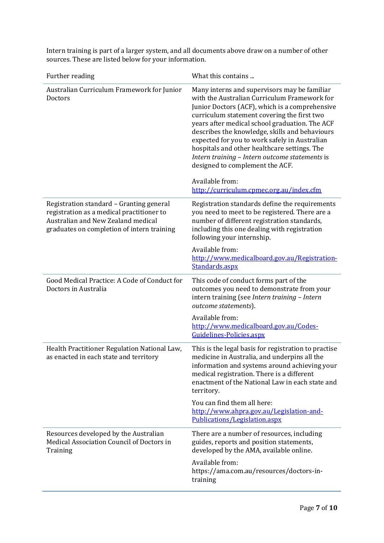Intern training is part of a larger system, and all documents above draw on a number of other sources. These are listed below for your information.

| Further reading                                                                                                                                                           | What this contains                                                                                                                                                                                                                                                                                                                                                                                                                                                                      |
|---------------------------------------------------------------------------------------------------------------------------------------------------------------------------|-----------------------------------------------------------------------------------------------------------------------------------------------------------------------------------------------------------------------------------------------------------------------------------------------------------------------------------------------------------------------------------------------------------------------------------------------------------------------------------------|
| Australian Curriculum Framework for Junior<br>Doctors                                                                                                                     | Many interns and supervisors may be familiar<br>with the Australian Curriculum Framework for<br>Junior Doctors (ACF), which is a comprehensive<br>curriculum statement covering the first two<br>years after medical school graduation. The ACF<br>describes the knowledge, skills and behaviours<br>expected for you to work safely in Australian<br>hospitals and other healthcare settings. The<br>Intern training - Intern outcome statements is<br>designed to complement the ACF. |
|                                                                                                                                                                           | Available from:<br>http://curriculum.cpmec.org.au/index.cfm                                                                                                                                                                                                                                                                                                                                                                                                                             |
| Registration standard - Granting general<br>registration as a medical practitioner to<br>Australian and New Zealand medical<br>graduates on completion of intern training | Registration standards define the requirements<br>you need to meet to be registered. There are a<br>number of different registration standards,<br>including this one dealing with registration<br>following your internship.                                                                                                                                                                                                                                                           |
|                                                                                                                                                                           | Available from:<br>http://www.medicalboard.gov.au/Registration-<br>Standards.aspx                                                                                                                                                                                                                                                                                                                                                                                                       |
| Good Medical Practice: A Code of Conduct for<br>Doctors in Australia                                                                                                      | This code of conduct forms part of the<br>outcomes you need to demonstrate from your<br>intern training (see Intern training - Intern<br>outcome statements).                                                                                                                                                                                                                                                                                                                           |
|                                                                                                                                                                           | Available from:<br>http://www.medicalboard.gov.au/Codes-<br>Guidelines-Policies.aspx                                                                                                                                                                                                                                                                                                                                                                                                    |
| Health Practitioner Regulation National Law,<br>as enacted in each state and territory                                                                                    | This is the legal basis for registration to practise<br>medicine in Australia, and underpins all the<br>information and systems around achieving your<br>medical registration. There is a different<br>enactment of the National Law in each state and<br>territory.                                                                                                                                                                                                                    |
|                                                                                                                                                                           | You can find them all here:<br>http://www.ahpra.gov.au/Legislation-and-<br>Publications/Legislation.aspx                                                                                                                                                                                                                                                                                                                                                                                |
| Resources developed by the Australian<br>Medical Association Council of Doctors in<br>Training                                                                            | There are a number of resources, including<br>guides, reports and position statements,<br>developed by the AMA, available online.<br>Available from:<br>https://ama.com.au/resources/doctors-in-                                                                                                                                                                                                                                                                                        |
|                                                                                                                                                                           | training                                                                                                                                                                                                                                                                                                                                                                                                                                                                                |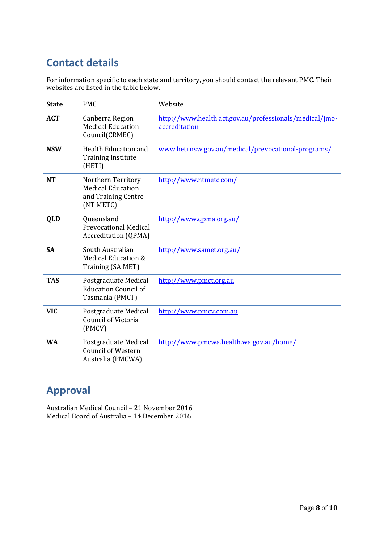## **Contact details**

For information specific to each state and territory, you should contact the relevant PMC. Their websites are listed in the table below.

| <b>State</b> | <b>PMC</b>                                                                         | Website                                                                  |
|--------------|------------------------------------------------------------------------------------|--------------------------------------------------------------------------|
| <b>ACT</b>   | Canberra Region<br><b>Medical Education</b><br>Council(CRMEC)                      | http://www.health.act.gov.au/professionals/medical/jmo-<br>accreditation |
| <b>NSW</b>   | <b>Health Education and</b><br><b>Training Institute</b><br>(HETI)                 | www.heti.nsw.gov.au/medical/prevocational-programs/                      |
| <b>NT</b>    | Northern Territory<br><b>Medical Education</b><br>and Training Centre<br>(NT METC) | http://www.ntmetc.com/                                                   |
| QLD          | Queensland<br><b>Prevocational Medical</b><br><b>Accreditation (QPMA)</b>          | http://www.qpma.org.au/                                                  |
| <b>SA</b>    | South Australian<br>Medical Education &<br>Training (SA MET)                       | http://www.samet.org.au/                                                 |
| <b>TAS</b>   | Postgraduate Medical<br><b>Education Council of</b><br>Tasmania (PMCT)             | http://www.pmct.org.au                                                   |
| <b>VIC</b>   | Postgraduate Medical<br>Council of Victoria<br>(PMCV)                              | http://www.pmcv.com.au                                                   |
| <b>WA</b>    | Postgraduate Medical<br><b>Council of Western</b><br>Australia (PMCWA)             | http://www.pmcwa.health.wa.gov.au/home/                                  |

### **Approval**

Australian Medical Council – 21 November 2016 Medical Board of Australia – 14 December 2016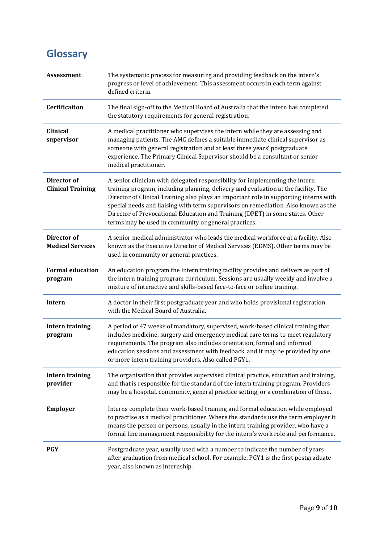# **Glossary**

| <b>Assessment</b>                       | The systematic process for measuring and providing feedback on the intern's<br>progress or level of achievement. This assessment occurs in each term against<br>defined criteria.                                                                                                                                                                                                                                                                                                          |
|-----------------------------------------|--------------------------------------------------------------------------------------------------------------------------------------------------------------------------------------------------------------------------------------------------------------------------------------------------------------------------------------------------------------------------------------------------------------------------------------------------------------------------------------------|
| Certification                           | The final sign-off to the Medical Board of Australia that the intern has completed<br>the statutory requirements for general registration.                                                                                                                                                                                                                                                                                                                                                 |
| <b>Clinical</b><br>supervisor           | A medical practitioner who supervises the intern while they are assessing and<br>managing patients. The AMC defines a suitable immediate clinical supervisor as<br>someone with general registration and at least three years' postgraduate<br>experience. The Primary Clinical Supervisor should be a consultant or senior<br>medical practitioner.                                                                                                                                       |
| Director of<br><b>Clinical Training</b> | A senior clinician with delegated responsibility for implementing the intern<br>training program, including planning, delivery and evaluation at the facility. The<br>Director of Clinical Training also plays an important role in supporting interns with<br>special needs and liaising with term supervisors on remediation. Also known as the<br>Director of Prevocational Education and Training (DPET) in some states. Other<br>terms may be used in community or general practices. |
| Director of<br><b>Medical Services</b>  | A senior medical administrator who leads the medical workforce at a facility. Also<br>known as the Executive Director of Medical Services (EDMS). Other terms may be<br>used in community or general practices.                                                                                                                                                                                                                                                                            |
| <b>Formal education</b><br>program      | An education program the intern training facility provides and delivers as part of<br>the intern training program curriculum. Sessions are usually weekly and involve a<br>mixture of interactive and skills-based face-to-face or online training.                                                                                                                                                                                                                                        |
| Intern                                  | A doctor in their first postgraduate year and who holds provisional registration<br>with the Medical Board of Australia.                                                                                                                                                                                                                                                                                                                                                                   |
| <b>Intern training</b><br>program       | A period of 47 weeks of mandatory, supervised, work-based clinical training that<br>includes medicine, surgery and emergency medical care terms to meet regulatory<br>requirements. The program also includes orientation, formal and informal<br>education sessions and assessment with feedback, and it may be provided by one<br>or more intern training providers. Also called PGY1.                                                                                                   |
| <b>Intern training</b><br>provider      | The organisation that provides supervised clinical practice, education and training,<br>and that is responsible for the standard of the intern training program. Providers<br>may be a hospital, community, general practice setting, or a combination of these.                                                                                                                                                                                                                           |
| <b>Employer</b>                         | Interns complete their work-based training and formal education while employed<br>to practise as a medical practitioner. Where the standards use the term employer it<br>means the person or persons, usually in the intern training provider, who have a<br>formal line management responsibility for the intern's work role and performance.                                                                                                                                             |
| <b>PGY</b>                              | Postgraduate year, usually used with a number to indicate the number of years<br>after graduation from medical school. For example, PGY1 is the first postgraduate<br>year, also known as internship.                                                                                                                                                                                                                                                                                      |